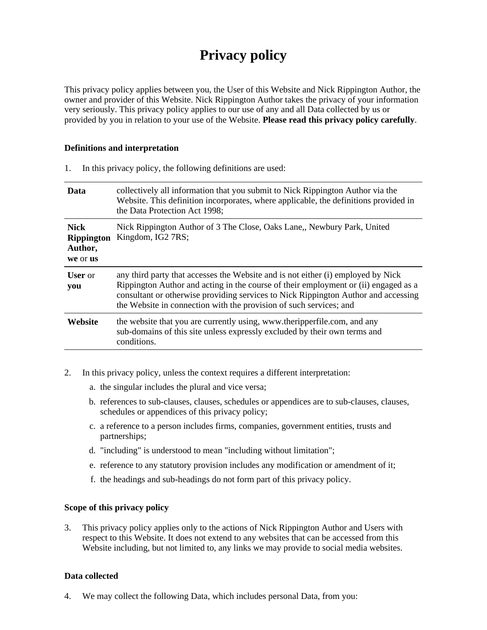# **Privacy policy**

This privacy policy applies between you, the User of this Website and Nick Rippington Author, the owner and provider of this Website. Nick Rippington Author takes the privacy of your information very seriously. This privacy policy applies to our use of any and all Data collected by us or provided by you in relation to your use of the Website. **Please read this privacy policy carefully**.

#### **Definitions and interpretation**

| Data                                                    | collectively all information that you submit to Nick Rippington Author via the<br>Website. This definition incorporates, where applicable, the definitions provided in<br>the Data Protection Act 1998;                                                                                                                             |
|---------------------------------------------------------|-------------------------------------------------------------------------------------------------------------------------------------------------------------------------------------------------------------------------------------------------------------------------------------------------------------------------------------|
| <b>Nick</b><br><b>Rippington</b><br>Author,<br>we or us | Nick Rippington Author of 3 The Close, Oaks Lane, Newbury Park, United<br>Kingdom, IG2 7RS;                                                                                                                                                                                                                                         |
| <b>User</b> or<br>you                                   | any third party that accesses the Website and is not either (i) employed by Nick<br>Rippington Author and acting in the course of their employment or (ii) engaged as a<br>consultant or otherwise providing services to Nick Rippington Author and accessing<br>the Website in connection with the provision of such services; and |
| Website                                                 | the website that you are currently using, www.theripperfile.com, and any<br>sub-domains of this site unless expressly excluded by their own terms and<br>conditions.                                                                                                                                                                |

1. In this privacy policy, the following definitions are used:

- 2. In this privacy policy, unless the context requires a different interpretation:
	- a. the singular includes the plural and vice versa;
	- b. references to sub-clauses, clauses, schedules or appendices are to sub-clauses, clauses, schedules or appendices of this privacy policy;
	- c. a reference to a person includes firms, companies, government entities, trusts and partnerships;
	- d. "including" is understood to mean "including without limitation";
	- e. reference to any statutory provision includes any modification or amendment of it;
	- f. the headings and sub-headings do not form part of this privacy policy.

#### **Scope of this privacy policy**

3. This privacy policy applies only to the actions of Nick Rippington Author and Users with respect to this Website. It does not extend to any websites that can be accessed from this Website including, but not limited to, any links we may provide to social media websites.

#### **Data collected**

4. We may collect the following Data, which includes personal Data, from you: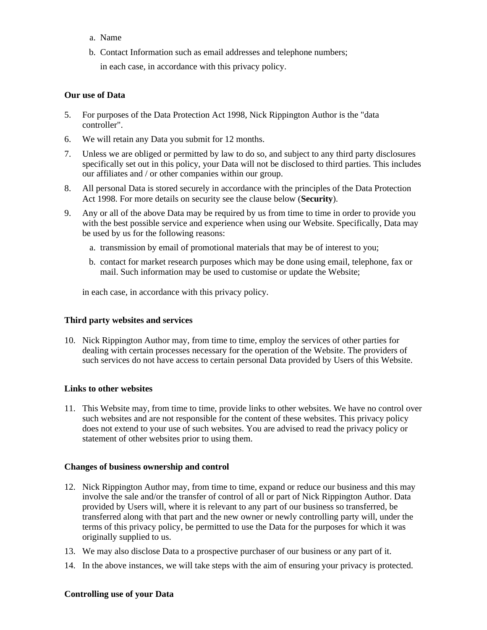- a. Name
- b. Contact Information such as email addresses and telephone numbers;

in each case, in accordance with this privacy policy.

#### **Our use of Data**

- 5. For purposes of the Data Protection Act 1998, Nick Rippington Author is the "data controller".
- 6. We will retain any Data you submit for 12 months.
- 7. Unless we are obliged or permitted by law to do so, and subject to any third party disclosures specifically set out in this policy, your Data will not be disclosed to third parties. This includes our affiliates and / or other companies within our group.
- 8. All personal Data is stored securely in accordance with the principles of the Data Protection Act 1998. For more details on security see the clause below (**Security**).
- 9. Any or all of the above Data may be required by us from time to time in order to provide you with the best possible service and experience when using our Website. Specifically, Data may be used by us for the following reasons:
	- a. transmission by email of promotional materials that may be of interest to you;
	- b. contact for market research purposes which may be done using email, telephone, fax or mail. Such information may be used to customise or update the Website;

in each case, in accordance with this privacy policy.

#### **Third party websites and services**

10. Nick Rippington Author may, from time to time, employ the services of other parties for dealing with certain processes necessary for the operation of the Website. The providers of such services do not have access to certain personal Data provided by Users of this Website.

#### **Links to other websites**

11. This Website may, from time to time, provide links to other websites. We have no control over such websites and are not responsible for the content of these websites. This privacy policy does not extend to your use of such websites. You are advised to read the privacy policy or statement of other websites prior to using them.

#### **Changes of business ownership and control**

- 12. Nick Rippington Author may, from time to time, expand or reduce our business and this may involve the sale and/or the transfer of control of all or part of Nick Rippington Author. Data provided by Users will, where it is relevant to any part of our business so transferred, be transferred along with that part and the new owner or newly controlling party will, under the terms of this privacy policy, be permitted to use the Data for the purposes for which it was originally supplied to us.
- 13. We may also disclose Data to a prospective purchaser of our business or any part of it.
- 14. In the above instances, we will take steps with the aim of ensuring your privacy is protected.

#### **Controlling use of your Data**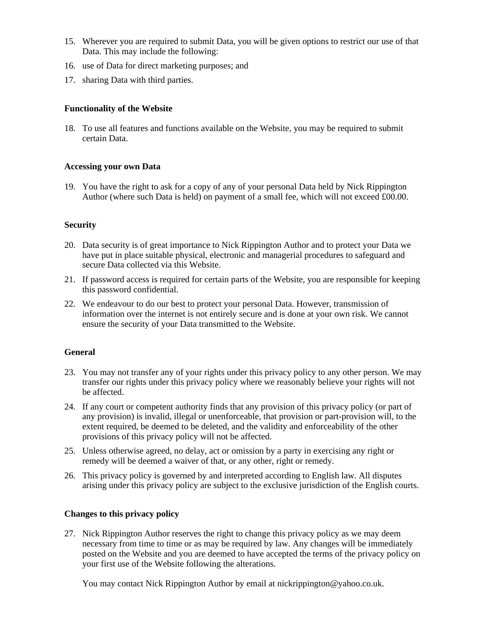- 15. Wherever you are required to submit Data, you will be given options to restrict our use of that Data. This may include the following:
- 16. use of Data for direct marketing purposes; and
- 17. sharing Data with third parties.

## **Functionality of the Website**

18. To use all features and functions available on the Website, you may be required to submit certain Data.

### **Accessing your own Data**

19. You have the right to ask for a copy of any of your personal Data held by Nick Rippington Author (where such Data is held) on payment of a small fee, which will not exceed £00.00.

#### **Security**

- 20. Data security is of great importance to Nick Rippington Author and to protect your Data we have put in place suitable physical, electronic and managerial procedures to safeguard and secure Data collected via this Website.
- 21. If password access is required for certain parts of the Website, you are responsible for keeping this password confidential.
- 22. We endeavour to do our best to protect your personal Data. However, transmission of information over the internet is not entirely secure and is done at your own risk. We cannot ensure the security of your Data transmitted to the Website.

# **General**

- 23. You may not transfer any of your rights under this privacy policy to any other person. We may transfer our rights under this privacy policy where we reasonably believe your rights will not be affected.
- 24. If any court or competent authority finds that any provision of this privacy policy (or part of any provision) is invalid, illegal or unenforceable, that provision or part-provision will, to the extent required, be deemed to be deleted, and the validity and enforceability of the other provisions of this privacy policy will not be affected.
- 25. Unless otherwise agreed, no delay, act or omission by a party in exercising any right or remedy will be deemed a waiver of that, or any other, right or remedy.
- 26. This privacy policy is governed by and interpreted according to English law. All disputes arising under this privacy policy are subject to the exclusive jurisdiction of the English courts.

#### **Changes to this privacy policy**

27. Nick Rippington Author reserves the right to change this privacy policy as we may deem necessary from time to time or as may be required by law. Any changes will be immediately posted on the Website and you are deemed to have accepted the terms of the privacy policy on your first use of the Website following the alterations.

You may contact Nick Rippington Author by email at nickrippington@yahoo.co.uk.